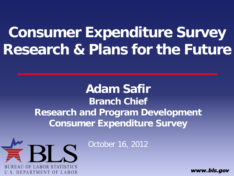# **Consumer Expenditure Survey Research & Plans for the Future**

### **Adam Safir Branch Chief Research and Program Development Consumer Expenditure Survey**



October 16, 2012

www.bls.aov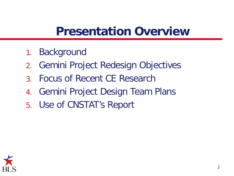### **Presentation Overview**

- 1. Background
- 2. Gemini Project Redesign Objectives
- 3. Focus of Recent CE Research
- 4. Gemini Project Design Team Plans
- 5. Use of CNSTAT's Report

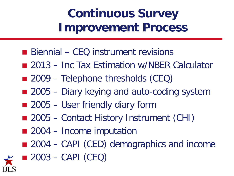### **Continuous Survey Improvement Process**

- Biennial CEO instrument revisions
- 2013 Inc Tax Estimation w/NBER Calculator
- 2009 Telephone thresholds (CEQ)
- 2005 Diary keying and auto-coding system
- 2005 User friendly diary form
- 2005 Contact History Instrument (CHI)
- 2004 Income imputation
- 2004 CAPI (CED) demographics and income
- $\blacksquare$  2003 CAPI (CEQ)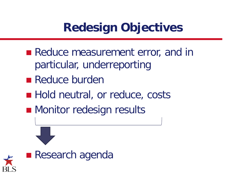## **Redesign Objectives**

- Reduce measurement error, and in particular, underreporting
- **Reduce burden**

- Hold neutral, or reduce, costs
- **Monitor redesign results**

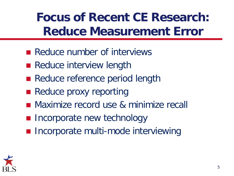### **Focus of Recent CE Research: Reduce Measurement Error**

- Reduce number of interviews
- **Reduce interview length**
- Reduce reference period length
- Reduce proxy reporting
- **Maximize record use & minimize recall**
- **Incorporate new technology**
- **Incorporate multi-mode interviewing**

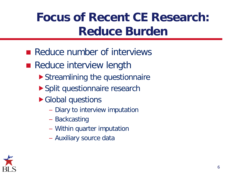### **Focus of Recent CE Research: Reduce Burden**

- Reduce number of interviews
- **Reduce interview length** 
	- Streamlining the questionnaire
	- ▶ Split questionnaire research
	- ▶ Global questions
		- Diary to interview imputation
		- Backcasting
		- Within quarter imputation
		- Auxiliary source data

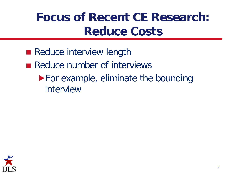### **Focus of Recent CE Research: Reduce Costs**

- **Reduce interview length**
- **Reduce number of interviews** 
	- ▶ For example, eliminate the bounding interview

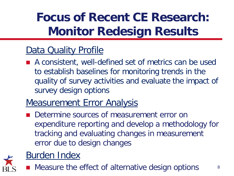## **Focus of Recent CE Research: Monitor Redesign Results**

### Data Quality Profile

■ A consistent, well-defined set of metrics can be used to establish baselines for monitoring trends in the quality of survey activities and evaluate the impact of survey design options

### **Measurement Error Analysis**

 Determine sources of measurement error on expenditure reporting and develop a methodology for tracking and evaluating changes in measurement error due to design changes



### Burden Index

**Measure the effect of alternative design options**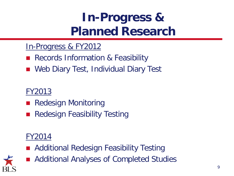### **In-Progress & Planned Research**

#### In-Progress & FY2012

- Records Information & Feasibility
- Web Diary Test, Individual Diary Test

### FY2013

- Redesign Monitoring
- Redesign Feasibility Testing

#### FY2014

Additional Redesign Feasibility Testing



Additional Analyses of Completed Studies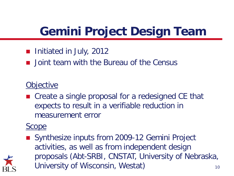### **Gemini Project Design Team**

- **Initiated in July, 2012**
- **Detainary 10 Septem** Joint team with the Bureau of the Census

#### **Objective**

■ Create a single proposal for a redesigned CE that expects to result in a verifiable reduction in measurement error

#### **Scope**

■ Synthesize inputs from 2009-12 Gemini Project activities, as well as from independent design proposals (Abt-SRBI, CNSTAT, University of Nebraska, University of Wisconsin, Westat) 10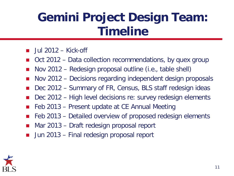### **Gemini Project Design Team: Timeline**

- Jul 2012 Kick-off
- Oct 2012 Data collection recommendations, by quex group
- Nov 2012 Redesign proposal outline (i.e., table shell)
- Nov 2012 Decisions regarding independent design proposals
- Dec 2012 Summary of FR, Census, BLS staff redesign ideas
- Dec 2012 High level decisions re: survey redesign elements
- Feb 2013 Present update at CE Annual Meeting
- Feb 2013 Detailed overview of proposed redesign elements
- Mar 2013 Draft redesign proposal report
- Jun 2013 Final redesign proposal report

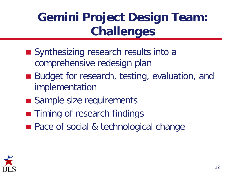### **Gemini Project Design Team: Challenges**

- Synthesizing research results into a comprehensive redesign plan
- Budget for research, testing, evaluation, and implementation
- Sample size requirements
- **Timing of research findings**
- Pace of social & technological change

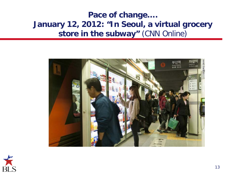#### **Pace of change…. January 12, 2012: "In Seoul, a virtual grocery**  store in the subway" (CNN Online)



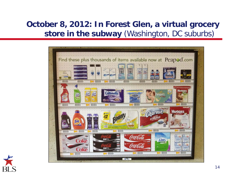#### **October 8, 2012: In Forest Glen, a virtual grocery store in the subway** (Washington, DC suburbs)



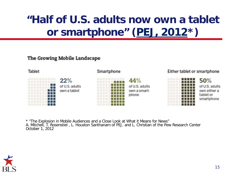### **"Half of U.S. adults now own a tablet or smartphone" [\(PEJ, 2012](http://www.journalism.org/analysis_report/future_mobile_news)\*)**

#### The Growing Mobile Landscape



\* "The Explosion in Mobile Audiences and a Close Look at What it Means for News" A. Mitchell, T. Rosenstiel , L. Houston Santhanam of PEJ, and L. Christian of the Pew Research Center October 1, 2012

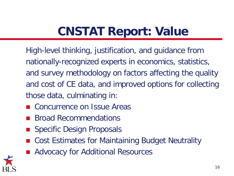## **CNSTAT Report: Value**

High-level thinking, justification, and guidance from nationally-recognized experts in economics, statistics, and survey methodology on factors affecting the quality and cost of CE data, and improved options for collecting those data, culminating in:

- Concurrence on Issue Areas
- Broad Recommendations
- Specific Design Proposals
- Cost Estimates for Maintaining Budget Neutrality
- Advocacy for Additional Resources

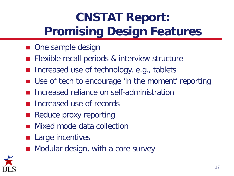## **CNSTAT Report: Promising Design Features**

- One sample design
- Flexible recall periods & interview structure
- Increased use of technology, e.g., tablets
- Use of tech to encourage 'in the moment' reporting
- Increased reliance on self-administration
- **Increased use of records**
- Reduce proxy reporting
- **Mixed mode data collection**
- **Large incentives**
- Modular design, with a core survey

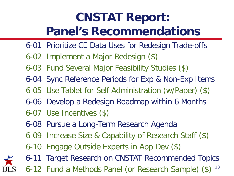### **CNSTAT Report: Panel's Recommendations**

- 6-01 Prioritize CE Data Uses for Redesign Trade-offs
- 6-02 Implement a Major Redesign (\$)
- 6-03 Fund Several Major Feasibility Studies (\$)
- 6-04 Sync Reference Periods for Exp & Non-Exp Items
- 6-05 Use Tablet for Self-Administration (w/Paper) (\$)
- 6-06 Develop a Redesign Roadmap within 6 Months
- 6-07 Use Incentives (\$)

- 6-08 Pursue a Long-Term Research Agenda
- 6-09 Increase Size & Capability of Research Staff (\$)
- 6-10 Engage Outside Experts in App Dev (\$)
- 6-11 Target Research on CNSTAT Recommended Topics
- 18 6-12 Fund a Methods Panel (or Research Sample) (\$)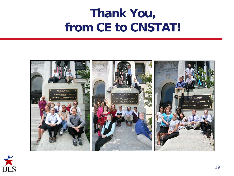## **Thank You, from CE to CNSTAT!**